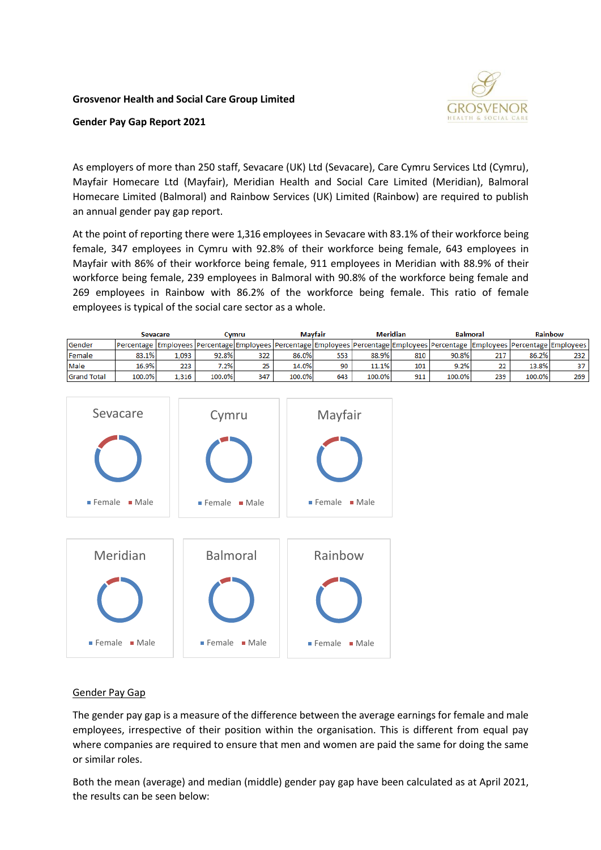## **Grosvenor Health and Social Care Group Limited**



## **Gender Pay Gap Report 2021**

As employers of more than 250 staff, Sevacare (UK) Ltd (Sevacare), Care Cymru Services Ltd (Cymru), Mayfair Homecare Ltd (Mayfair), Meridian Health and Social Care Limited (Meridian), Balmoral Homecare Limited (Balmoral) and Rainbow Services (UK) Limited (Rainbow) are required to publish an annual gender pay gap report.

At the point of reporting there were 1,316 employees in Sevacare with 83.1% of their workforce being female, 347 employees in Cymru with 92.8% of their workforce being female, 643 employees in Mayfair with 86% of their workforce being female, 911 employees in Meridian with 88.9% of their workforce being female, 239 employees in Balmoral with 90.8% of the workforce being female and 269 employees in Rainbow with 86.2% of the workforce being female. This ratio of female employees is typical of the social care sector as a whole.

|                    | <b>Sevacare</b>                                                                                                                                                              |       | Cvmru   |     | <b>Mavfair</b> |     | <b>Meridian</b> |     | <b>Balmoral</b> |     | Rainbow |     |
|--------------------|------------------------------------------------------------------------------------------------------------------------------------------------------------------------------|-------|---------|-----|----------------|-----|-----------------|-----|-----------------|-----|---------|-----|
| <b>Gender</b>      | Percentage   Employees   Percentage   Employees   Percentage   Employees   Percentage   Employees   Percentage   Employees   Percentage   Employees   Percentage   Employees |       |         |     |                |     |                 |     |                 |     |         |     |
| Female             | 83.1%                                                                                                                                                                        | 1.093 | 92.8%   | 322 | 86.0%          | 553 | 88.9%           | 810 | 90.8%           | 217 | 86.2%   | 232 |
| Male               | 16.9%                                                                                                                                                                        | 223   | $7.2\%$ | 25  | 14.0%          | 90  | 11.1%           | 101 | 9.2%            | 22  | 13.8%   | 37  |
| <b>Grand Total</b> | 100.0%                                                                                                                                                                       | 1,316 | 100.0%  | 347 | 100.0%         | 643 | 100.0%          | 911 | 100.0%          | 239 | 100.0%  | 269 |



## Gender Pay Gap

The gender pay gap is a measure of the difference between the average earnings for female and male employees, irrespective of their position within the organisation. This is different from equal pay where companies are required to ensure that men and women are paid the same for doing the same or similar roles.

Both the mean (average) and median (middle) gender pay gap have been calculated as at April 2021, the results can be seen below: